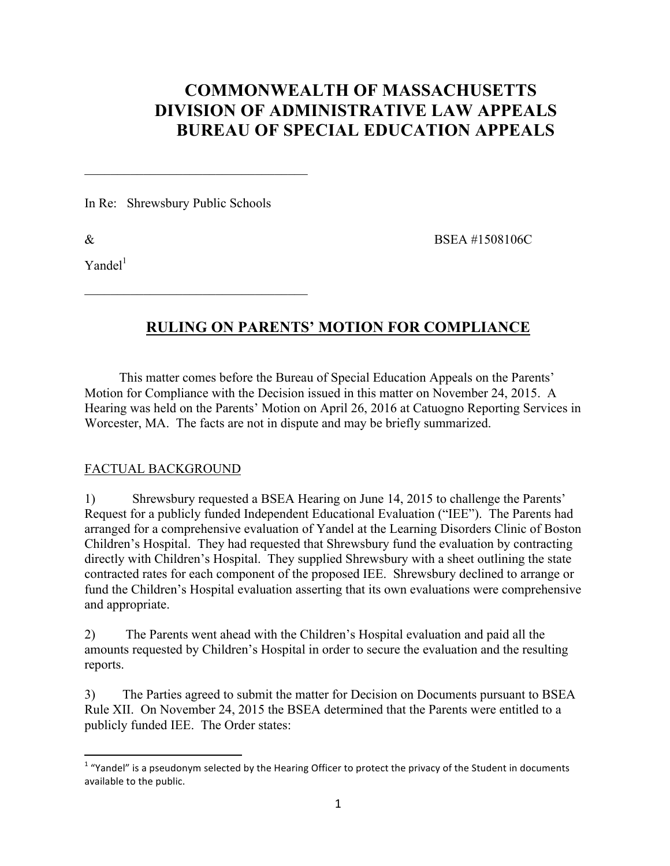# **COMMONWEALTH OF MASSACHUSETTS DIVISION OF ADMINISTRATIVE LAW APPEALS BUREAU OF SPECIAL EDUCATION APPEALS**

In Re: Shrewsbury Public Schools

 $\mathcal{L}_\text{max}$  , where  $\mathcal{L}_\text{max}$  and  $\mathcal{L}_\text{max}$  and  $\mathcal{L}_\text{max}$ 

 $\mathcal{L}_\text{max}$  , where  $\mathcal{L}_\text{max}$  and  $\mathcal{L}_\text{max}$  and  $\mathcal{L}_\text{max}$ 

 $Y$ andel $1$ 

 $\&$  BSEA #1508106C

## **RULING ON PARENTS' MOTION FOR COMPLIANCE**

This matter comes before the Bureau of Special Education Appeals on the Parents' Motion for Compliance with the Decision issued in this matter on November 24, 2015. A Hearing was held on the Parents' Motion on April 26, 2016 at Catuogno Reporting Services in Worcester, MA. The facts are not in dispute and may be briefly summarized.

## FACTUAL BACKGROUND

1) Shrewsbury requested a BSEA Hearing on June 14, 2015 to challenge the Parents' Request for a publicly funded Independent Educational Evaluation ("IEE"). The Parents had arranged for a comprehensive evaluation of Yandel at the Learning Disorders Clinic of Boston Children's Hospital. They had requested that Shrewsbury fund the evaluation by contracting directly with Children's Hospital. They supplied Shrewsbury with a sheet outlining the state contracted rates for each component of the proposed IEE. Shrewsbury declined to arrange or fund the Children's Hospital evaluation asserting that its own evaluations were comprehensive and appropriate.

2) The Parents went ahead with the Children's Hospital evaluation and paid all the amounts requested by Children's Hospital in order to secure the evaluation and the resulting reports.

3) The Parties agreed to submit the matter for Decision on Documents pursuant to BSEA Rule XII. On November 24, 2015 the BSEA determined that the Parents were entitled to a publicly funded IEE. The Order states:

 $1$  "Yandel" is a pseudonym selected by the Hearing Officer to protect the privacy of the Student in documents available to the public.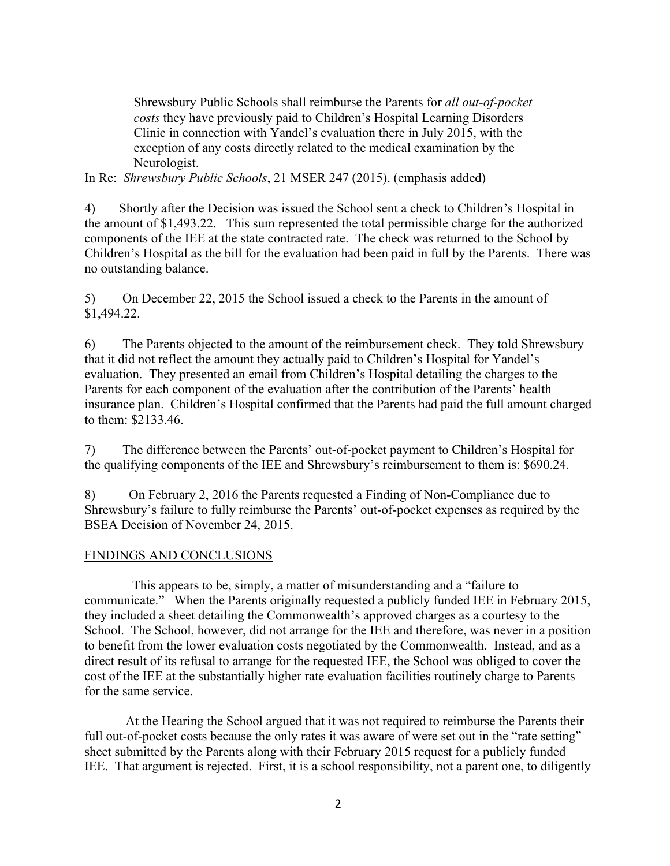Shrewsbury Public Schools shall reimburse the Parents for *all out-of-pocket costs* they have previously paid to Children's Hospital Learning Disorders Clinic in connection with Yandel's evaluation there in July 2015, with the exception of any costs directly related to the medical examination by the Neurologist.

In Re: *Shrewsbury Public Schools*, 21 MSER 247 (2015). (emphasis added)

4) Shortly after the Decision was issued the School sent a check to Children's Hospital in the amount of \$1,493.22. This sum represented the total permissible charge for the authorized components of the IEE at the state contracted rate. The check was returned to the School by Children's Hospital as the bill for the evaluation had been paid in full by the Parents. There was no outstanding balance.

5) On December 22, 2015 the School issued a check to the Parents in the amount of \$1,494.22.

6) The Parents objected to the amount of the reimbursement check. They told Shrewsbury that it did not reflect the amount they actually paid to Children's Hospital for Yandel's evaluation. They presented an email from Children's Hospital detailing the charges to the Parents for each component of the evaluation after the contribution of the Parents' health insurance plan. Children's Hospital confirmed that the Parents had paid the full amount charged to them: \$2133.46.

7) The difference between the Parents' out-of-pocket payment to Children's Hospital for the qualifying components of the IEE and Shrewsbury's reimbursement to them is: \$690.24.

8) On February 2, 2016 the Parents requested a Finding of Non-Compliance due to Shrewsbury's failure to fully reimburse the Parents' out-of-pocket expenses as required by the BSEA Decision of November 24, 2015.

### FINDINGS AND CONCLUSIONS

 This appears to be, simply, a matter of misunderstanding and a "failure to communicate." When the Parents originally requested a publicly funded IEE in February 2015, they included a sheet detailing the Commonwealth's approved charges as a courtesy to the School. The School, however, did not arrange for the IEE and therefore, was never in a position to benefit from the lower evaluation costs negotiated by the Commonwealth. Instead, and as a direct result of its refusal to arrange for the requested IEE, the School was obliged to cover the cost of the IEE at the substantially higher rate evaluation facilities routinely charge to Parents for the same service.

 At the Hearing the School argued that it was not required to reimburse the Parents their full out-of-pocket costs because the only rates it was aware of were set out in the "rate setting" sheet submitted by the Parents along with their February 2015 request for a publicly funded IEE. That argument is rejected. First, it is a school responsibility, not a parent one, to diligently